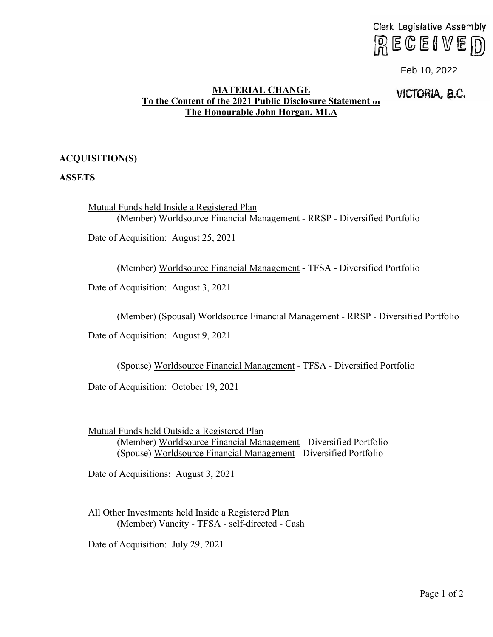# Clerk Legislative Assembly  $R \in \mathbb{G}$  enverong

### **MATERIAL CHANGE To the Content of the 2021 Public Disclosure Statement of The Honourable John Horgan, MLA**

# VICTORIA, **e.c.** Feb 10, 2022

## **ACQUISITION(S)**

#### **ASSETS**

Mutual Funds held Inside a Registered Plan (Member) Worldsource Financial Management - RRSP - Diversified Portfolio

Date of Acquisition: August 25, 2021

(Member) Worldsource Financial Management - TFSA - Diversified Portfolio

Date of Acquisition: August 3, 2021

(Member) (Spousal) Worldsource Financial Management - RRSP - Diversified Portfolio

Date of Acquisition: August 9, 2021

(Spouse) Worldsource Financial Management - TFSA - Diversified Portfolio

Date of Acquisition: October 19, 2021

Mutual Funds held Outside a Registered Plan (Member) Worldsource Financial Management - Diversified Portfolio (Spouse) Worldsource Financial Management - Diversified Portfolio

Date of Acquisitions: August 3, 2021

All Other Investments held Inside a Registered Plan (Member) Vancity - TFSA - self-directed - Cash

Date of Acquisition: July 29, 2021